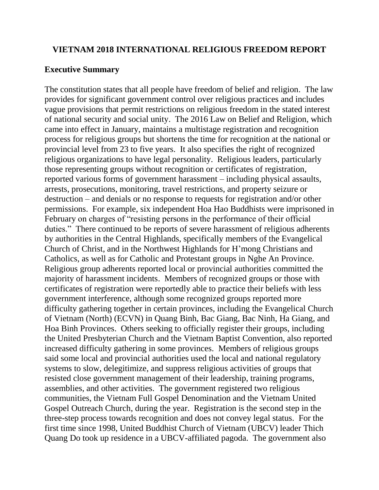#### **VIETNAM 2018 INTERNATIONAL RELIGIOUS FREEDOM REPORT**

#### **Executive Summary**

The constitution states that all people have freedom of belief and religion. The law provides for significant government control over religious practices and includes vague provisions that permit restrictions on religious freedom in the stated interest of national security and social unity. The 2016 Law on Belief and Religion, which came into effect in January, maintains a multistage registration and recognition process for religious groups but shortens the time for recognition at the national or provincial level from 23 to five years. It also specifies the right of recognized religious organizations to have legal personality. Religious leaders, particularly those representing groups without recognition or certificates of registration, reported various forms of government harassment – including physical assaults, arrests, prosecutions, monitoring, travel restrictions, and property seizure or destruction – and denials or no response to requests for registration and/or other permissions. For example, six independent Hoa Hao Buddhists were imprisoned in February on charges of "resisting persons in the performance of their official duties." There continued to be reports of severe harassment of religious adherents by authorities in the Central Highlands, specifically members of the Evangelical Church of Christ, and in the Northwest Highlands for H'mong Christians and Catholics, as well as for Catholic and Protestant groups in Nghe An Province. Religious group adherents reported local or provincial authorities committed the majority of harassment incidents. Members of recognized groups or those with certificates of registration were reportedly able to practice their beliefs with less government interference, although some recognized groups reported more difficulty gathering together in certain provinces, including the Evangelical Church of Vietnam (North) (ECVN) in Quang Binh, Bac Giang, Bac Ninh, Ha Giang, and Hoa Binh Provinces. Others seeking to officially register their groups, including the United Presbyterian Church and the Vietnam Baptist Convention, also reported increased difficulty gathering in some provinces. Members of religious groups said some local and provincial authorities used the local and national regulatory systems to slow, delegitimize, and suppress religious activities of groups that resisted close government management of their leadership, training programs, assemblies, and other activities. The government registered two religious communities, the Vietnam Full Gospel Denomination and the Vietnam United Gospel Outreach Church, during the year. Registration is the second step in the three-step process towards recognition and does not convey legal status. For the first time since 1998, United Buddhist Church of Vietnam (UBCV) leader Thich Quang Do took up residence in a UBCV-affiliated pagoda. The government also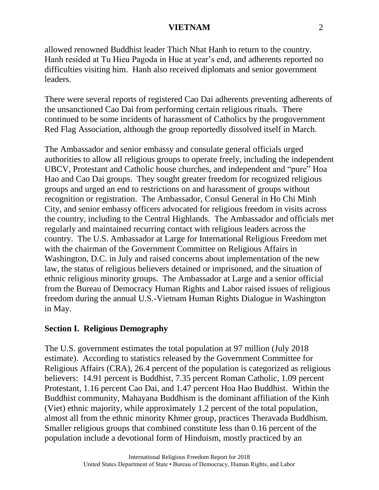allowed renowned Buddhist leader Thich Nhat Hanh to return to the country. Hanh resided at Tu Hieu Pagoda in Hue at year's end, and adherents reported no difficulties visiting him. Hanh also received diplomats and senior government leaders.

There were several reports of registered Cao Dai adherents preventing adherents of the unsanctioned Cao Dai from performing certain religious rituals. There continued to be some incidents of harassment of Catholics by the progovernment Red Flag Association, although the group reportedly dissolved itself in March.

The Ambassador and senior embassy and consulate general officials urged authorities to allow all religious groups to operate freely, including the independent UBCV, Protestant and Catholic house churches, and independent and "pure" Hoa Hao and Cao Dai groups. They sought greater freedom for recognized religious groups and urged an end to restrictions on and harassment of groups without recognition or registration. The Ambassador, Consul General in Ho Chi Minh City, and senior embassy officers advocated for religious freedom in visits across the country, including to the Central Highlands. The Ambassador and officials met regularly and maintained recurring contact with religious leaders across the country. The U.S. Ambassador at Large for International Religious Freedom met with the chairman of the Government Committee on Religious Affairs in Washington, D.C. in July and raised concerns about implementation of the new law, the status of religious believers detained or imprisoned, and the situation of ethnic religious minority groups. The Ambassador at Large and a senior official from the Bureau of Democracy Human Rights and Labor raised issues of religious freedom during the annual U.S.-Vietnam Human Rights Dialogue in Washington in May.

# **Section I. Religious Demography**

The U.S. government estimates the total population at 97 million (July 2018 estimate). According to statistics released by the Government Committee for Religious Affairs (CRA), 26.4 percent of the population is categorized as religious believers: 14.91 percent is Buddhist, 7.35 percent Roman Catholic, 1.09 percent Protestant, 1.16 percent Cao Dai, and 1.47 percent Hoa Hao Buddhist. Within the Buddhist community, Mahayana Buddhism is the dominant affiliation of the Kinh (Viet) ethnic majority, while approximately 1.2 percent of the total population, almost all from the ethnic minority Khmer group, practices Theravada Buddhism. Smaller religious groups that combined constitute less than 0.16 percent of the population include a devotional form of Hinduism, mostly practiced by an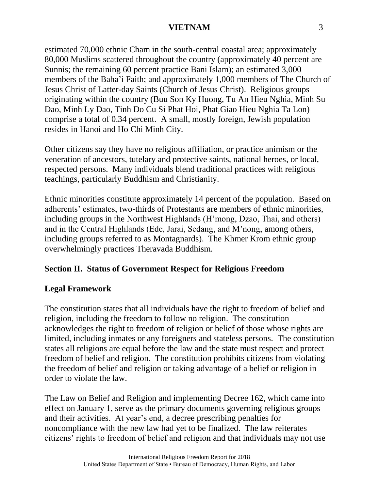estimated 70,000 ethnic Cham in the south-central coastal area; approximately 80,000 Muslims scattered throughout the country (approximately 40 percent are Sunnis; the remaining 60 percent practice Bani Islam); an estimated 3,000 members of the Baha'i Faith; and approximately 1,000 members of The Church of Jesus Christ of Latter-day Saints (Church of Jesus Christ). Religious groups originating within the country (Buu Son Ky Huong, Tu An Hieu Nghia, Minh Su Dao, Minh Ly Dao, Tinh Do Cu Si Phat Hoi, Phat Giao Hieu Nghia Ta Lon) comprise a total of 0.34 percent. A small, mostly foreign, Jewish population resides in Hanoi and Ho Chi Minh City.

Other citizens say they have no religious affiliation, or practice animism or the veneration of ancestors, tutelary and protective saints, national heroes, or local, respected persons. Many individuals blend traditional practices with religious teachings, particularly Buddhism and Christianity.

Ethnic minorities constitute approximately 14 percent of the population. Based on adherents' estimates, two-thirds of Protestants are members of ethnic minorities, including groups in the Northwest Highlands (H'mong, Dzao, Thai, and others) and in the Central Highlands (Ede, Jarai, Sedang, and M'nong, among others, including groups referred to as Montagnards). The Khmer Krom ethnic group overwhelmingly practices Theravada Buddhism.

# **Section II. Status of Government Respect for Religious Freedom**

# **Legal Framework**

The constitution states that all individuals have the right to freedom of belief and religion, including the freedom to follow no religion. The constitution acknowledges the right to freedom of religion or belief of those whose rights are limited, including inmates or any foreigners and stateless persons. The constitution states all religions are equal before the law and the state must respect and protect freedom of belief and religion. The constitution prohibits citizens from violating the freedom of belief and religion or taking advantage of a belief or religion in order to violate the law.

The Law on Belief and Religion and implementing Decree 162, which came into effect on January 1, serve as the primary documents governing religious groups and their activities. At year's end, a decree prescribing penalties for noncompliance with the new law had yet to be finalized. The law reiterates citizens' rights to freedom of belief and religion and that individuals may not use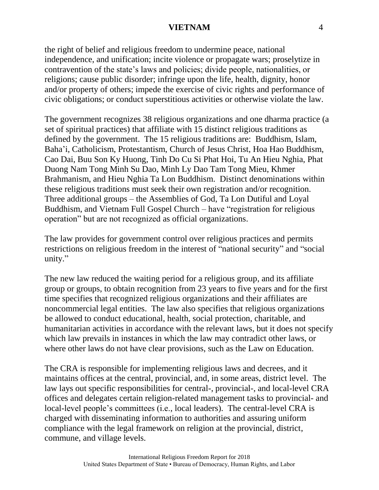the right of belief and religious freedom to undermine peace, national independence, and unification; incite violence or propagate wars; proselytize in contravention of the state's laws and policies; divide people, nationalities, or religions; cause public disorder; infringe upon the life, health, dignity, honor and/or property of others; impede the exercise of civic rights and performance of civic obligations; or conduct superstitious activities or otherwise violate the law.

The government recognizes 38 religious organizations and one dharma practice (a set of spiritual practices) that affiliate with 15 distinct religious traditions as defined by the government. The 15 religious traditions are: Buddhism, Islam, Baha'i, Catholicism, Protestantism, Church of Jesus Christ, Hoa Hao Buddhism, Cao Dai, Buu Son Ky Huong, Tinh Do Cu Si Phat Hoi, Tu An Hieu Nghia, Phat Duong Nam Tong Minh Su Dao, Minh Ly Dao Tam Tong Mieu, Khmer Brahmanism, and Hieu Nghia Ta Lon Buddhism. Distinct denominations within these religious traditions must seek their own registration and/or recognition. Three additional groups – the Assemblies of God, Ta Lon Dutiful and Loyal Buddhism, and Vietnam Full Gospel Church – have "registration for religious operation" but are not recognized as official organizations.

The law provides for government control over religious practices and permits restrictions on religious freedom in the interest of "national security" and "social unity."

The new law reduced the waiting period for a religious group, and its affiliate group or groups, to obtain recognition from 23 years to five years and for the first time specifies that recognized religious organizations and their affiliates are noncommercial legal entities. The law also specifies that religious organizations be allowed to conduct educational, health, social protection, charitable, and humanitarian activities in accordance with the relevant laws, but it does not specify which law prevails in instances in which the law may contradict other laws, or where other laws do not have clear provisions, such as the Law on Education.

The CRA is responsible for implementing religious laws and decrees, and it maintains offices at the central, provincial, and, in some areas, district level. The law lays out specific responsibilities for central-, provincial-, and local-level CRA offices and delegates certain religion-related management tasks to provincial- and local-level people's committees (i.e., local leaders). The central-level CRA is charged with disseminating information to authorities and assuring uniform compliance with the legal framework on religion at the provincial, district, commune, and village levels.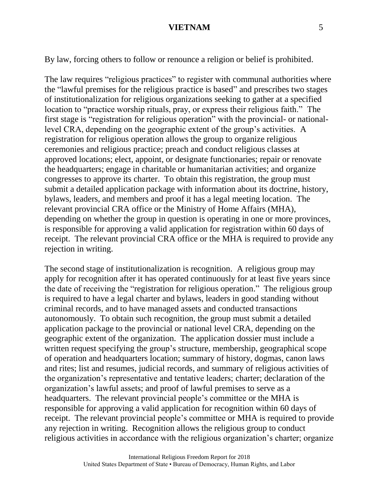By law, forcing others to follow or renounce a religion or belief is prohibited.

The law requires "religious practices" to register with communal authorities where the "lawful premises for the religious practice is based" and prescribes two stages of institutionalization for religious organizations seeking to gather at a specified location to "practice worship rituals, pray, or express their religious faith." The first stage is "registration for religious operation" with the provincial- or nationallevel CRA, depending on the geographic extent of the group's activities. A registration for religious operation allows the group to organize religious ceremonies and religious practice; preach and conduct religious classes at approved locations; elect, appoint, or designate functionaries; repair or renovate the headquarters; engage in charitable or humanitarian activities; and organize congresses to approve its charter. To obtain this registration, the group must submit a detailed application package with information about its doctrine, history, bylaws, leaders, and members and proof it has a legal meeting location. The relevant provincial CRA office or the Ministry of Home Affairs (MHA), depending on whether the group in question is operating in one or more provinces, is responsible for approving a valid application for registration within 60 days of receipt. The relevant provincial CRA office or the MHA is required to provide any rejection in writing.

The second stage of institutionalization is recognition. A religious group may apply for recognition after it has operated continuously for at least five years since the date of receiving the "registration for religious operation." The religious group is required to have a legal charter and bylaws, leaders in good standing without criminal records, and to have managed assets and conducted transactions autonomously. To obtain such recognition, the group must submit a detailed application package to the provincial or national level CRA, depending on the geographic extent of the organization. The application dossier must include a written request specifying the group's structure, membership, geographical scope of operation and headquarters location; summary of history, dogmas, canon laws and rites; list and resumes, judicial records, and summary of religious activities of the organization's representative and tentative leaders; charter; declaration of the organization's lawful assets; and proof of lawful premises to serve as a headquarters. The relevant provincial people's committee or the MHA is responsible for approving a valid application for recognition within 60 days of receipt. The relevant provincial people's committee or MHA is required to provide any rejection in writing. Recognition allows the religious group to conduct religious activities in accordance with the religious organization's charter; organize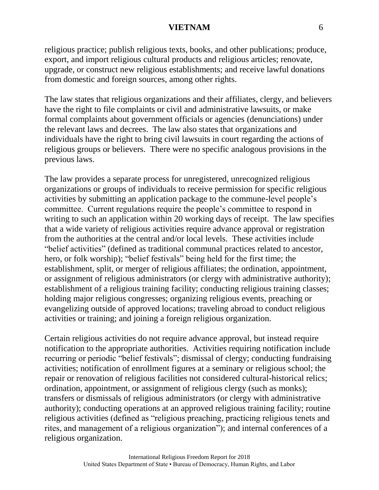religious practice; publish religious texts, books, and other publications; produce, export, and import religious cultural products and religious articles; renovate, upgrade, or construct new religious establishments; and receive lawful donations from domestic and foreign sources, among other rights.

The law states that religious organizations and their affiliates, clergy, and believers have the right to file complaints or civil and administrative lawsuits, or make formal complaints about government officials or agencies (denunciations) under the relevant laws and decrees. The law also states that organizations and individuals have the right to bring civil lawsuits in court regarding the actions of religious groups or believers. There were no specific analogous provisions in the previous laws.

The law provides a separate process for unregistered, unrecognized religious organizations or groups of individuals to receive permission for specific religious activities by submitting an application package to the commune-level people's committee. Current regulations require the people's committee to respond in writing to such an application within 20 working days of receipt. The law specifies that a wide variety of religious activities require advance approval or registration from the authorities at the central and/or local levels. These activities include "belief activities" (defined as traditional communal practices related to ancestor, hero, or folk worship); "belief festivals" being held for the first time; the establishment, split, or merger of religious affiliates; the ordination, appointment, or assignment of religious administrators (or clergy with administrative authority); establishment of a religious training facility; conducting religious training classes; holding major religious congresses; organizing religious events, preaching or evangelizing outside of approved locations; traveling abroad to conduct religious activities or training; and joining a foreign religious organization.

Certain religious activities do not require advance approval, but instead require notification to the appropriate authorities. Activities requiring notification include recurring or periodic "belief festivals"; dismissal of clergy; conducting fundraising activities; notification of enrollment figures at a seminary or religious school; the repair or renovation of religious facilities not considered cultural-historical relics; ordination, appointment, or assignment of religious clergy (such as monks); transfers or dismissals of religious administrators (or clergy with administrative authority); conducting operations at an approved religious training facility; routine religious activities (defined as "religious preaching, practicing religious tenets and rites, and management of a religious organization"); and internal conferences of a religious organization.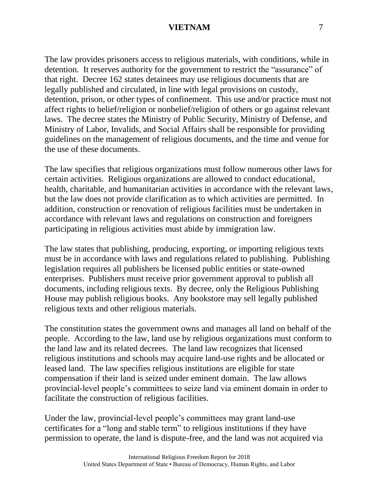The law provides prisoners access to religious materials, with conditions, while in detention. It reserves authority for the government to restrict the "assurance" of that right. Decree 162 states detainees may use religious documents that are legally published and circulated, in line with legal provisions on custody, detention, prison, or other types of confinement. This use and/or practice must not affect rights to belief/religion or nonbelief/religion of others or go against relevant laws. The decree states the Ministry of Public Security, Ministry of Defense, and Ministry of Labor, Invalids, and Social Affairs shall be responsible for providing guidelines on the management of religious documents, and the time and venue for the use of these documents.

The law specifies that religious organizations must follow numerous other laws for certain activities. Religious organizations are allowed to conduct educational, health, charitable, and humanitarian activities in accordance with the relevant laws, but the law does not provide clarification as to which activities are permitted. In addition, construction or renovation of religious facilities must be undertaken in accordance with relevant laws and regulations on construction and foreigners participating in religious activities must abide by immigration law.

The law states that publishing, producing, exporting, or importing religious texts must be in accordance with laws and regulations related to publishing. Publishing legislation requires all publishers be licensed public entities or state-owned enterprises. Publishers must receive prior government approval to publish all documents, including religious texts. By decree, only the Religious Publishing House may publish religious books. Any bookstore may sell legally published religious texts and other religious materials.

The constitution states the government owns and manages all land on behalf of the people. According to the law, land use by religious organizations must conform to the land law and its related decrees. The land law recognizes that licensed religious institutions and schools may acquire land-use rights and be allocated or leased land. The law specifies religious institutions are eligible for state compensation if their land is seized under eminent domain. The law allows provincial-level people's committees to seize land via eminent domain in order to facilitate the construction of religious facilities.

Under the law, provincial-level people's committees may grant land-use certificates for a "long and stable term" to religious institutions if they have permission to operate, the land is dispute-free, and the land was not acquired via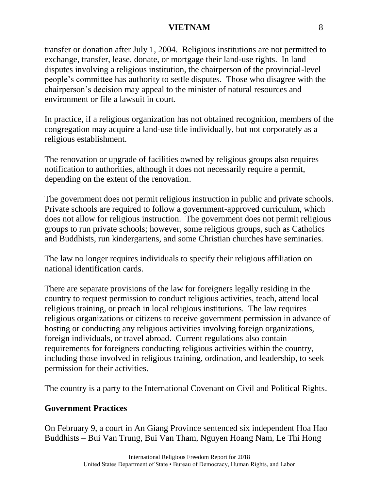transfer or donation after July 1, 2004. Religious institutions are not permitted to exchange, transfer, lease, donate, or mortgage their land-use rights. In land disputes involving a religious institution, the chairperson of the provincial-level people's committee has authority to settle disputes. Those who disagree with the chairperson's decision may appeal to the minister of natural resources and environment or file a lawsuit in court.

In practice, if a religious organization has not obtained recognition, members of the congregation may acquire a land-use title individually, but not corporately as a religious establishment.

The renovation or upgrade of facilities owned by religious groups also requires notification to authorities, although it does not necessarily require a permit, depending on the extent of the renovation.

The government does not permit religious instruction in public and private schools. Private schools are required to follow a government-approved curriculum, which does not allow for religious instruction. The government does not permit religious groups to run private schools; however, some religious groups, such as Catholics and Buddhists, run kindergartens, and some Christian churches have seminaries.

The law no longer requires individuals to specify their religious affiliation on national identification cards.

There are separate provisions of the law for foreigners legally residing in the country to request permission to conduct religious activities, teach, attend local religious training, or preach in local religious institutions. The law requires religious organizations or citizens to receive government permission in advance of hosting or conducting any religious activities involving foreign organizations, foreign individuals, or travel abroad. Current regulations also contain requirements for foreigners conducting religious activities within the country, including those involved in religious training, ordination, and leadership, to seek permission for their activities.

The country is a party to the International Covenant on Civil and Political Rights.

# **Government Practices**

On February 9, a court in An Giang Province sentenced six independent Hoa Hao Buddhists – Bui Van Trung, Bui Van Tham, Nguyen Hoang Nam, Le Thi Hong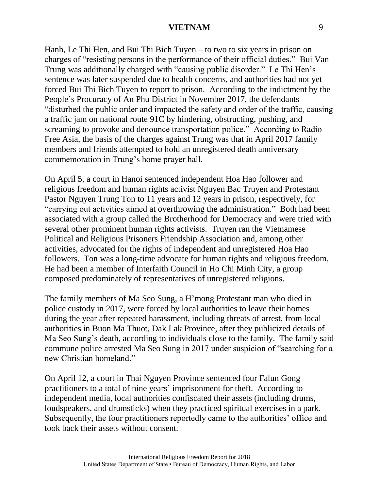Hanh, Le Thi Hen, and Bui Thi Bich Tuyen – to two to six years in prison on charges of "resisting persons in the performance of their official duties." Bui Van Trung was additionally charged with "causing public disorder." Le Thi Hen's sentence was later suspended due to health concerns, and authorities had not yet forced Bui Thi Bich Tuyen to report to prison. According to the indictment by the People's Procuracy of An Phu District in November 2017, the defendants "disturbed the public order and impacted the safety and order of the traffic, causing a traffic jam on national route 91C by hindering, obstructing, pushing, and screaming to provoke and denounce transportation police." According to Radio Free Asia, the basis of the charges against Trung was that in April 2017 family members and friends attempted to hold an unregistered death anniversary commemoration in Trung's home prayer hall.

On April 5, a court in Hanoi sentenced independent Hoa Hao follower and religious freedom and human rights activist Nguyen Bac Truyen and Protestant Pastor Nguyen Trung Ton to 11 years and 12 years in prison, respectively, for "carrying out activities aimed at overthrowing the administration." Both had been associated with a group called the Brotherhood for Democracy and were tried with several other prominent human rights activists. Truyen ran the Vietnamese Political and Religious Prisoners Friendship Association and, among other activities, advocated for the rights of independent and unregistered Hoa Hao followers. Ton was a long-time advocate for human rights and religious freedom. He had been a member of Interfaith Council in Ho Chi Minh City, a group composed predominately of representatives of unregistered religions.

The family members of Ma Seo Sung, a H'mong Protestant man who died in police custody in 2017, were forced by local authorities to leave their homes during the year after repeated harassment, including threats of arrest, from local authorities in Buon Ma Thuot, Dak Lak Province, after they publicized details of Ma Seo Sung's death, according to individuals close to the family. The family said commune police arrested Ma Seo Sung in 2017 under suspicion of "searching for a new Christian homeland."

On April 12, a court in Thai Nguyen Province sentenced four Falun Gong practitioners to a total of nine years' imprisonment for theft. According to independent media, local authorities confiscated their assets (including drums, loudspeakers, and drumsticks) when they practiced spiritual exercises in a park. Subsequently, the four practitioners reportedly came to the authorities' office and took back their assets without consent.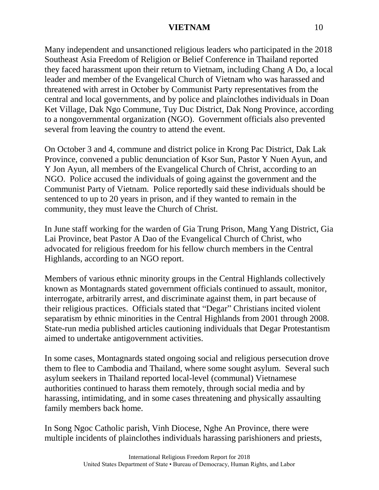Many independent and unsanctioned religious leaders who participated in the 2018 Southeast Asia Freedom of Religion or Belief Conference in Thailand reported they faced harassment upon their return to Vietnam, including Chang A Do, a local leader and member of the Evangelical Church of Vietnam who was harassed and threatened with arrest in October by Communist Party representatives from the central and local governments, and by police and plainclothes individuals in Doan Ket Village, Dak Ngo Commune, Tuy Duc District, Dak Nong Province, according to a nongovernmental organization (NGO). Government officials also prevented several from leaving the country to attend the event.

On October 3 and 4, commune and district police in Krong Pac District, Dak Lak Province, convened a public denunciation of Ksor Sun, Pastor Y Nuen Ayun, and Y Jon Ayun, all members of the Evangelical Church of Christ, according to an NGO. Police accused the individuals of going against the government and the Communist Party of Vietnam. Police reportedly said these individuals should be sentenced to up to 20 years in prison, and if they wanted to remain in the community, they must leave the Church of Christ.

In June staff working for the warden of Gia Trung Prison, Mang Yang District, Gia Lai Province, beat Pastor A Dao of the Evangelical Church of Christ, who advocated for religious freedom for his fellow church members in the Central Highlands, according to an NGO report.

Members of various ethnic minority groups in the Central Highlands collectively known as Montagnards stated government officials continued to assault, monitor, interrogate, arbitrarily arrest, and discriminate against them, in part because of their religious practices. Officials stated that "Degar" Christians incited violent separatism by ethnic minorities in the Central Highlands from 2001 through 2008. State-run media published articles cautioning individuals that Degar Protestantism aimed to undertake antigovernment activities.

In some cases, Montagnards stated ongoing social and religious persecution drove them to flee to Cambodia and Thailand, where some sought asylum. Several such asylum seekers in Thailand reported local-level (communal) Vietnamese authorities continued to harass them remotely, through social media and by harassing, intimidating, and in some cases threatening and physically assaulting family members back home.

In Song Ngoc Catholic parish, Vinh Diocese, Nghe An Province, there were multiple incidents of plainclothes individuals harassing parishioners and priests,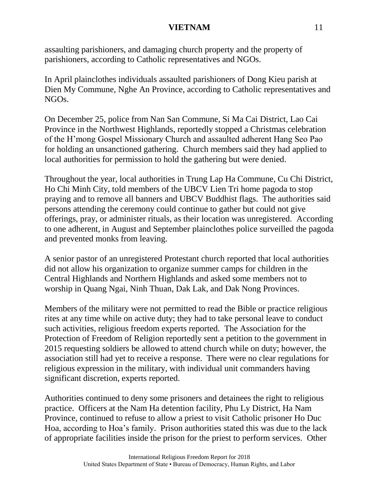assaulting parishioners, and damaging church property and the property of parishioners, according to Catholic representatives and NGOs.

In April plainclothes individuals assaulted parishioners of Dong Kieu parish at Dien My Commune, Nghe An Province, according to Catholic representatives and NGOs.

On December 25, police from Nan San Commune, Si Ma Cai District, Lao Cai Province in the Northwest Highlands, reportedly stopped a Christmas celebration of the H'mong Gospel Missionary Church and assaulted adherent Hang Seo Pao for holding an unsanctioned gathering. Church members said they had applied to local authorities for permission to hold the gathering but were denied.

Throughout the year, local authorities in Trung Lap Ha Commune, Cu Chi District, Ho Chi Minh City, told members of the UBCV Lien Tri home pagoda to stop praying and to remove all banners and UBCV Buddhist flags. The authorities said persons attending the ceremony could continue to gather but could not give offerings, pray, or administer rituals, as their location was unregistered. According to one adherent, in August and September plainclothes police surveilled the pagoda and prevented monks from leaving.

A senior pastor of an unregistered Protestant church reported that local authorities did not allow his organization to organize summer camps for children in the Central Highlands and Northern Highlands and asked some members not to worship in Quang Ngai, Ninh Thuan, Dak Lak, and Dak Nong Provinces.

Members of the military were not permitted to read the Bible or practice religious rites at any time while on active duty; they had to take personal leave to conduct such activities, religious freedom experts reported. The Association for the Protection of Freedom of Religion reportedly sent a petition to the government in 2015 requesting soldiers be allowed to attend church while on duty; however, the association still had yet to receive a response. There were no clear regulations for religious expression in the military, with individual unit commanders having significant discretion, experts reported.

Authorities continued to deny some prisoners and detainees the right to religious practice. Officers at the Nam Ha detention facility, Phu Ly District, Ha Nam Province, continued to refuse to allow a priest to visit Catholic prisoner Ho Duc Hoa, according to Hoa's family. Prison authorities stated this was due to the lack of appropriate facilities inside the prison for the priest to perform services. Other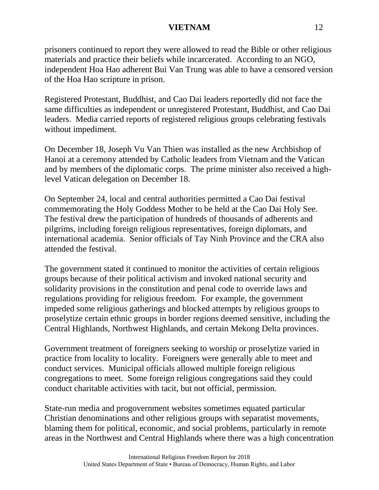prisoners continued to report they were allowed to read the Bible or other religious materials and practice their beliefs while incarcerated. According to an NGO, independent Hoa Hao adherent Bui Van Trung was able to have a censored version of the Hoa Hao scripture in prison.

Registered Protestant, Buddhist, and Cao Dai leaders reportedly did not face the same difficulties as independent or unregistered Protestant, Buddhist, and Cao Dai leaders. Media carried reports of registered religious groups celebrating festivals without impediment.

On December 18, Joseph Vu Van Thien was installed as the new Archbishop of Hanoi at a ceremony attended by Catholic leaders from Vietnam and the Vatican and by members of the diplomatic corps. The prime minister also received a highlevel Vatican delegation on December 18.

On September 24, local and central authorities permitted a Cao Dai festival commemorating the Holy Goddess Mother to be held at the Cao Dai Holy See. The festival drew the participation of hundreds of thousands of adherents and pilgrims, including foreign religious representatives, foreign diplomats, and international academia. Senior officials of Tay Ninh Province and the CRA also attended the festival.

The government stated it continued to monitor the activities of certain religious groups because of their political activism and invoked national security and solidarity provisions in the constitution and penal code to override laws and regulations providing for religious freedom. For example, the government impeded some religious gatherings and blocked attempts by religious groups to proselytize certain ethnic groups in border regions deemed sensitive, including the Central Highlands, Northwest Highlands, and certain Mekong Delta provinces.

Government treatment of foreigners seeking to worship or proselytize varied in practice from locality to locality. Foreigners were generally able to meet and conduct services. Municipal officials allowed multiple foreign religious congregations to meet. Some foreign religious congregations said they could conduct charitable activities with tacit, but not official, permission.

State-run media and progovernment websites sometimes equated particular Christian denominations and other religious groups with separatist movements, blaming them for political, economic, and social problems, particularly in remote areas in the Northwest and Central Highlands where there was a high concentration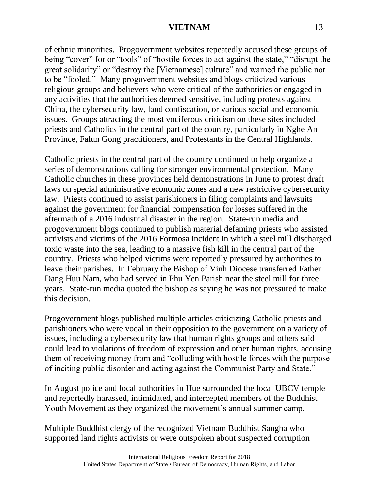of ethnic minorities. Progovernment websites repeatedly accused these groups of being "cover" for or "tools" of "hostile forces to act against the state," "disrupt the great solidarity" or "destroy the [Vietnamese] culture" and warned the public not to be "fooled." Many progovernment websites and blogs criticized various religious groups and believers who were critical of the authorities or engaged in any activities that the authorities deemed sensitive, including protests against China, the cybersecurity law, land confiscation, or various social and economic issues. Groups attracting the most vociferous criticism on these sites included priests and Catholics in the central part of the country, particularly in Nghe An Province, Falun Gong practitioners, and Protestants in the Central Highlands.

Catholic priests in the central part of the country continued to help organize a series of demonstrations calling for stronger environmental protection. Many Catholic churches in these provinces held demonstrations in June to protest draft laws on special administrative economic zones and a new restrictive cybersecurity law. Priests continued to assist parishioners in filing complaints and lawsuits against the government for financial compensation for losses suffered in the aftermath of a 2016 industrial disaster in the region. State-run media and progovernment blogs continued to publish material defaming priests who assisted activists and victims of the 2016 Formosa incident in which a steel mill discharged toxic waste into the sea, leading to a massive fish kill in the central part of the country. Priests who helped victims were reportedly pressured by authorities to leave their parishes. In February the Bishop of Vinh Diocese transferred Father Dang Huu Nam, who had served in Phu Yen Parish near the steel mill for three years. State-run media quoted the bishop as saying he was not pressured to make this decision.

Progovernment blogs published multiple articles criticizing Catholic priests and parishioners who were vocal in their opposition to the government on a variety of issues, including a cybersecurity law that human rights groups and others said could lead to violations of freedom of expression and other human rights, accusing them of receiving money from and "colluding with hostile forces with the purpose of inciting public disorder and acting against the Communist Party and State."

In August police and local authorities in Hue surrounded the local UBCV temple and reportedly harassed, intimidated, and intercepted members of the Buddhist Youth Movement as they organized the movement's annual summer camp.

Multiple Buddhist clergy of the recognized Vietnam Buddhist Sangha who supported land rights activists or were outspoken about suspected corruption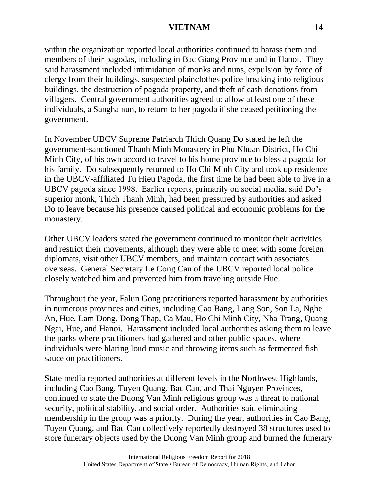within the organization reported local authorities continued to harass them and members of their pagodas, including in Bac Giang Province and in Hanoi. They said harassment included intimidation of monks and nuns, expulsion by force of clergy from their buildings, suspected plainclothes police breaking into religious buildings, the destruction of pagoda property, and theft of cash donations from villagers. Central government authorities agreed to allow at least one of these individuals, a Sangha nun, to return to her pagoda if she ceased petitioning the government.

In November UBCV Supreme Patriarch Thich Quang Do stated he left the government-sanctioned Thanh Minh Monastery in Phu Nhuan District, Ho Chi Minh City, of his own accord to travel to his home province to bless a pagoda for his family. Do subsequently returned to Ho Chi Minh City and took up residence in the UBCV-affiliated Tu Hieu Pagoda, the first time he had been able to live in a UBCV pagoda since 1998. Earlier reports, primarily on social media, said Do's superior monk, Thich Thanh Minh, had been pressured by authorities and asked Do to leave because his presence caused political and economic problems for the monastery.

Other UBCV leaders stated the government continued to monitor their activities and restrict their movements, although they were able to meet with some foreign diplomats, visit other UBCV members, and maintain contact with associates overseas. General Secretary Le Cong Cau of the UBCV reported local police closely watched him and prevented him from traveling outside Hue.

Throughout the year, Falun Gong practitioners reported harassment by authorities in numerous provinces and cities, including Cao Bang, Lang Son, Son La, Nghe An, Hue, Lam Dong, Dong Thap, Ca Mau, Ho Chi Minh City, Nha Trang, Quang Ngai, Hue, and Hanoi. Harassment included local authorities asking them to leave the parks where practitioners had gathered and other public spaces, where individuals were blaring loud music and throwing items such as fermented fish sauce on practitioners.

State media reported authorities at different levels in the Northwest Highlands, including Cao Bang, Tuyen Quang, Bac Can, and Thai Nguyen Provinces, continued to state the Duong Van Minh religious group was a threat to national security, political stability, and social order. Authorities said eliminating membership in the group was a priority. During the year, authorities in Cao Bang, Tuyen Quang, and Bac Can collectively reportedly destroyed 38 structures used to store funerary objects used by the Duong Van Minh group and burned the funerary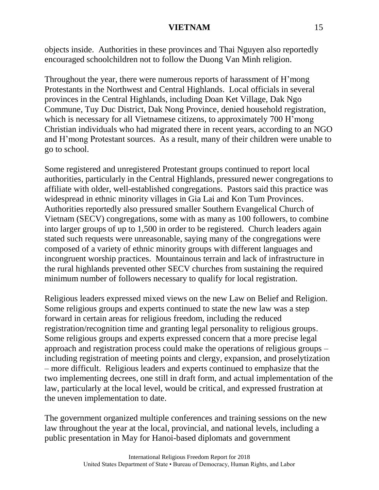objects inside. Authorities in these provinces and Thai Nguyen also reportedly encouraged schoolchildren not to follow the Duong Van Minh religion.

Throughout the year, there were numerous reports of harassment of H'mong Protestants in the Northwest and Central Highlands. Local officials in several provinces in the Central Highlands, including Doan Ket Village, Dak Ngo Commune, Tuy Duc District, Dak Nong Province, denied household registration, which is necessary for all Vietnamese citizens, to approximately 700 H'mong Christian individuals who had migrated there in recent years, according to an NGO and H'mong Protestant sources. As a result, many of their children were unable to go to school.

Some registered and unregistered Protestant groups continued to report local authorities, particularly in the Central Highlands, pressured newer congregations to affiliate with older, well-established congregations. Pastors said this practice was widespread in ethnic minority villages in Gia Lai and Kon Tum Provinces. Authorities reportedly also pressured smaller Southern Evangelical Church of Vietnam (SECV) congregations, some with as many as 100 followers, to combine into larger groups of up to 1,500 in order to be registered. Church leaders again stated such requests were unreasonable, saying many of the congregations were composed of a variety of ethnic minority groups with different languages and incongruent worship practices. Mountainous terrain and lack of infrastructure in the rural highlands prevented other SECV churches from sustaining the required minimum number of followers necessary to qualify for local registration.

Religious leaders expressed mixed views on the new Law on Belief and Religion. Some religious groups and experts continued to state the new law was a step forward in certain areas for religious freedom, including the reduced registration/recognition time and granting legal personality to religious groups. Some religious groups and experts expressed concern that a more precise legal approach and registration process could make the operations of religious groups – including registration of meeting points and clergy, expansion, and proselytization – more difficult. Religious leaders and experts continued to emphasize that the two implementing decrees, one still in draft form, and actual implementation of the law, particularly at the local level, would be critical, and expressed frustration at the uneven implementation to date.

The government organized multiple conferences and training sessions on the new law throughout the year at the local, provincial, and national levels, including a public presentation in May for Hanoi-based diplomats and government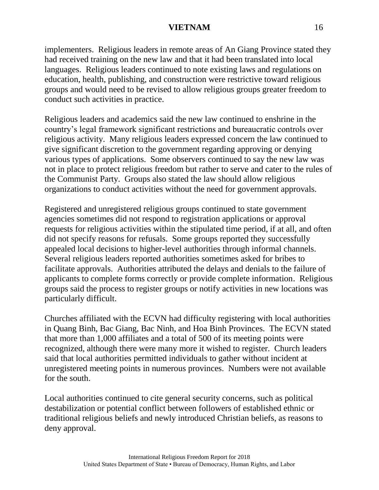implementers. Religious leaders in remote areas of An Giang Province stated they had received training on the new law and that it had been translated into local languages. Religious leaders continued to note existing laws and regulations on education, health, publishing, and construction were restrictive toward religious groups and would need to be revised to allow religious groups greater freedom to conduct such activities in practice.

Religious leaders and academics said the new law continued to enshrine in the country's legal framework significant restrictions and bureaucratic controls over religious activity. Many religious leaders expressed concern the law continued to give significant discretion to the government regarding approving or denying various types of applications. Some observers continued to say the new law was not in place to protect religious freedom but rather to serve and cater to the rules of the Communist Party. Groups also stated the law should allow religious organizations to conduct activities without the need for government approvals.

Registered and unregistered religious groups continued to state government agencies sometimes did not respond to registration applications or approval requests for religious activities within the stipulated time period, if at all, and often did not specify reasons for refusals. Some groups reported they successfully appealed local decisions to higher-level authorities through informal channels. Several religious leaders reported authorities sometimes asked for bribes to facilitate approvals. Authorities attributed the delays and denials to the failure of applicants to complete forms correctly or provide complete information. Religious groups said the process to register groups or notify activities in new locations was particularly difficult.

Churches affiliated with the ECVN had difficulty registering with local authorities in Quang Binh, Bac Giang, Bac Ninh, and Hoa Binh Provinces. The ECVN stated that more than 1,000 affiliates and a total of 500 of its meeting points were recognized, although there were many more it wished to register. Church leaders said that local authorities permitted individuals to gather without incident at unregistered meeting points in numerous provinces. Numbers were not available for the south.

Local authorities continued to cite general security concerns, such as political destabilization or potential conflict between followers of established ethnic or traditional religious beliefs and newly introduced Christian beliefs, as reasons to deny approval.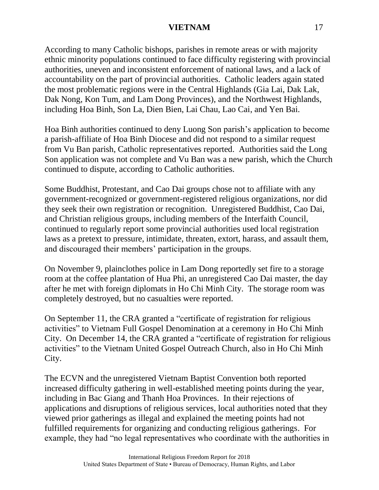According to many Catholic bishops, parishes in remote areas or with majority ethnic minority populations continued to face difficulty registering with provincial authorities, uneven and inconsistent enforcement of national laws, and a lack of accountability on the part of provincial authorities. Catholic leaders again stated the most problematic regions were in the Central Highlands (Gia Lai, Dak Lak, Dak Nong, Kon Tum, and Lam Dong Provinces), and the Northwest Highlands, including Hoa Binh, Son La, Dien Bien, Lai Chau, Lao Cai, and Yen Bai.

Hoa Binh authorities continued to deny Luong Son parish's application to become a parish-affiliate of Hoa Binh Diocese and did not respond to a similar request from Vu Ban parish, Catholic representatives reported. Authorities said the Long Son application was not complete and Vu Ban was a new parish, which the Church continued to dispute, according to Catholic authorities.

Some Buddhist, Protestant, and Cao Dai groups chose not to affiliate with any government-recognized or government-registered religious organizations, nor did they seek their own registration or recognition. Unregistered Buddhist, Cao Dai, and Christian religious groups, including members of the Interfaith Council, continued to regularly report some provincial authorities used local registration laws as a pretext to pressure, intimidate, threaten, extort, harass, and assault them, and discouraged their members' participation in the groups.

On November 9, plainclothes police in Lam Dong reportedly set fire to a storage room at the coffee plantation of Hua Phi, an unregistered Cao Dai master, the day after he met with foreign diplomats in Ho Chi Minh City. The storage room was completely destroyed, but no casualties were reported.

On September 11, the CRA granted a "certificate of registration for religious activities" to Vietnam Full Gospel Denomination at a ceremony in Ho Chi Minh City. On December 14, the CRA granted a "certificate of registration for religious activities" to the Vietnam United Gospel Outreach Church, also in Ho Chi Minh City.

The ECVN and the unregistered Vietnam Baptist Convention both reported increased difficulty gathering in well-established meeting points during the year, including in Bac Giang and Thanh Hoa Provinces. In their rejections of applications and disruptions of religious services, local authorities noted that they viewed prior gatherings as illegal and explained the meeting points had not fulfilled requirements for organizing and conducting religious gatherings. For example, they had "no legal representatives who coordinate with the authorities in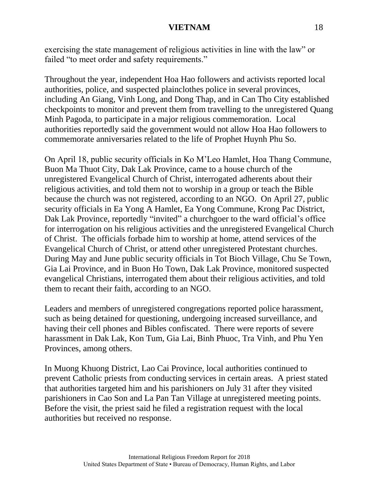exercising the state management of religious activities in line with the law" or failed "to meet order and safety requirements."

Throughout the year, independent Hoa Hao followers and activists reported local authorities, police, and suspected plainclothes police in several provinces, including An Giang, Vinh Long, and Dong Thap, and in Can Tho City established checkpoints to monitor and prevent them from travelling to the unregistered Quang Minh Pagoda, to participate in a major religious commemoration. Local authorities reportedly said the government would not allow Hoa Hao followers to commemorate anniversaries related to the life of Prophet Huynh Phu So.

On April 18, public security officials in Ko M'Leo Hamlet, Hoa Thang Commune, Buon Ma Thuot City, Dak Lak Province, came to a house church of the unregistered Evangelical Church of Christ, interrogated adherents about their religious activities, and told them not to worship in a group or teach the Bible because the church was not registered, according to an NGO. On April 27, public security officials in Ea Yong A Hamlet, Ea Yong Commune, Krong Pac District, Dak Lak Province, reportedly "invited" a churchgoer to the ward official's office for interrogation on his religious activities and the unregistered Evangelical Church of Christ. The officials forbade him to worship at home, attend services of the Evangelical Church of Christ, or attend other unregistered Protestant churches. During May and June public security officials in Tot Bioch Village, Chu Se Town, Gia Lai Province, and in Buon Ho Town, Dak Lak Province, monitored suspected evangelical Christians, interrogated them about their religious activities, and told them to recant their faith, according to an NGO.

Leaders and members of unregistered congregations reported police harassment, such as being detained for questioning, undergoing increased surveillance, and having their cell phones and Bibles confiscated. There were reports of severe harassment in Dak Lak, Kon Tum, Gia Lai, Binh Phuoc, Tra Vinh, and Phu Yen Provinces, among others.

In Muong Khuong District, Lao Cai Province, local authorities continued to prevent Catholic priests from conducting services in certain areas. A priest stated that authorities targeted him and his parishioners on July 31 after they visited parishioners in Cao Son and La Pan Tan Village at unregistered meeting points. Before the visit, the priest said he filed a registration request with the local authorities but received no response.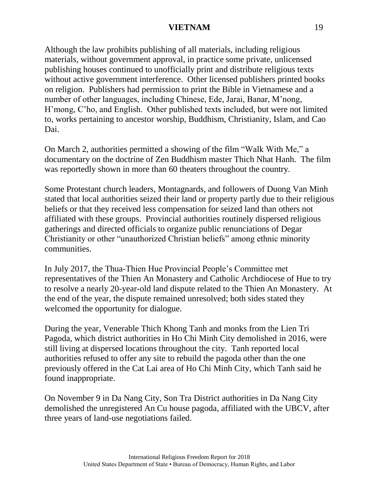Although the law prohibits publishing of all materials, including religious materials, without government approval, in practice some private, unlicensed publishing houses continued to unofficially print and distribute religious texts without active government interference. Other licensed publishers printed books on religion. Publishers had permission to print the Bible in Vietnamese and a number of other languages, including Chinese, Ede, Jarai, Banar, M'nong, H'mong, C'ho, and English. Other published texts included, but were not limited to, works pertaining to ancestor worship, Buddhism, Christianity, Islam, and Cao Dai.

On March 2, authorities permitted a showing of the film "Walk With Me," a documentary on the doctrine of Zen Buddhism master Thich Nhat Hanh. The film was reportedly shown in more than 60 theaters throughout the country.

Some Protestant church leaders, Montagnards, and followers of Duong Van Minh stated that local authorities seized their land or property partly due to their religious beliefs or that they received less compensation for seized land than others not affiliated with these groups. Provincial authorities routinely dispersed religious gatherings and directed officials to organize public renunciations of Degar Christianity or other "unauthorized Christian beliefs" among ethnic minority communities.

In July 2017, the Thua-Thien Hue Provincial People's Committee met representatives of the Thien An Monastery and Catholic Archdiocese of Hue to try to resolve a nearly 20-year-old land dispute related to the Thien An Monastery. At the end of the year, the dispute remained unresolved; both sides stated they welcomed the opportunity for dialogue.

During the year, Venerable Thich Khong Tanh and monks from the Lien Tri Pagoda, which district authorities in Ho Chi Minh City demolished in 2016, were still living at dispersed locations throughout the city. Tanh reported local authorities refused to offer any site to rebuild the pagoda other than the one previously offered in the Cat Lai area of Ho Chi Minh City, which Tanh said he found inappropriate.

On November 9 in Da Nang City, Son Tra District authorities in Da Nang City demolished the unregistered An Cu house pagoda, affiliated with the UBCV, after three years of land-use negotiations failed.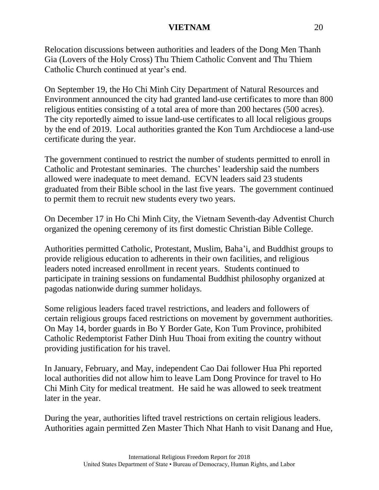Relocation discussions between authorities and leaders of the Dong Men Thanh Gia (Lovers of the Holy Cross) Thu Thiem Catholic Convent and Thu Thiem Catholic Church continued at year's end.

On September 19, the Ho Chi Minh City Department of Natural Resources and Environment announced the city had granted land-use certificates to more than 800 religious entities consisting of a total area of more than 200 hectares (500 acres). The city reportedly aimed to issue land-use certificates to all local religious groups by the end of 2019. Local authorities granted the Kon Tum Archdiocese a land-use certificate during the year.

The government continued to restrict the number of students permitted to enroll in Catholic and Protestant seminaries. The churches' leadership said the numbers allowed were inadequate to meet demand. ECVN leaders said 23 students graduated from their Bible school in the last five years. The government continued to permit them to recruit new students every two years.

On December 17 in Ho Chi Minh City, the Vietnam Seventh-day Adventist Church organized the opening ceremony of its first domestic Christian Bible College.

Authorities permitted Catholic, Protestant, Muslim, Baha'i, and Buddhist groups to provide religious education to adherents in their own facilities, and religious leaders noted increased enrollment in recent years. Students continued to participate in training sessions on fundamental Buddhist philosophy organized at pagodas nationwide during summer holidays.

Some religious leaders faced travel restrictions, and leaders and followers of certain religious groups faced restrictions on movement by government authorities. On May 14, border guards in Bo Y Border Gate, Kon Tum Province, prohibited Catholic Redemptorist Father Dinh Huu Thoai from exiting the country without providing justification for his travel.

In January, February, and May, independent Cao Dai follower Hua Phi reported local authorities did not allow him to leave Lam Dong Province for travel to Ho Chi Minh City for medical treatment. He said he was allowed to seek treatment later in the year.

During the year, authorities lifted travel restrictions on certain religious leaders. Authorities again permitted Zen Master Thich Nhat Hanh to visit Danang and Hue,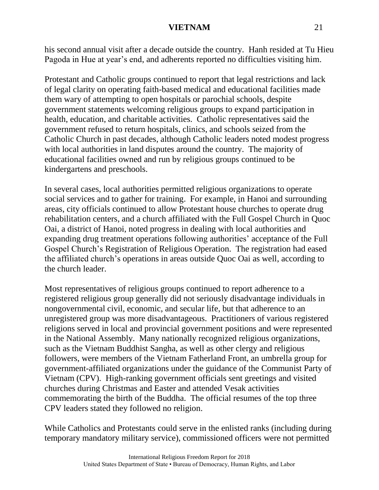his second annual visit after a decade outside the country. Hanh resided at Tu Hieu Pagoda in Hue at year's end, and adherents reported no difficulties visiting him.

Protestant and Catholic groups continued to report that legal restrictions and lack of legal clarity on operating faith-based medical and educational facilities made them wary of attempting to open hospitals or parochial schools, despite government statements welcoming religious groups to expand participation in health, education, and charitable activities. Catholic representatives said the government refused to return hospitals, clinics, and schools seized from the Catholic Church in past decades, although Catholic leaders noted modest progress with local authorities in land disputes around the country. The majority of educational facilities owned and run by religious groups continued to be kindergartens and preschools.

In several cases, local authorities permitted religious organizations to operate social services and to gather for training. For example, in Hanoi and surrounding areas, city officials continued to allow Protestant house churches to operate drug rehabilitation centers, and a church affiliated with the Full Gospel Church in Quoc Oai, a district of Hanoi, noted progress in dealing with local authorities and expanding drug treatment operations following authorities' acceptance of the Full Gospel Church's Registration of Religious Operation. The registration had eased the affiliated church's operations in areas outside Quoc Oai as well, according to the church leader.

Most representatives of religious groups continued to report adherence to a registered religious group generally did not seriously disadvantage individuals in nongovernmental civil, economic, and secular life, but that adherence to an unregistered group was more disadvantageous. Practitioners of various registered religions served in local and provincial government positions and were represented in the National Assembly. Many nationally recognized religious organizations, such as the Vietnam Buddhist Sangha, as well as other clergy and religious followers, were members of the Vietnam Fatherland Front, an umbrella group for government-affiliated organizations under the guidance of the Communist Party of Vietnam (CPV). High-ranking government officials sent greetings and visited churches during Christmas and Easter and attended Vesak activities commemorating the birth of the Buddha. The official resumes of the top three CPV leaders stated they followed no religion.

While Catholics and Protestants could serve in the enlisted ranks (including during temporary mandatory military service), commissioned officers were not permitted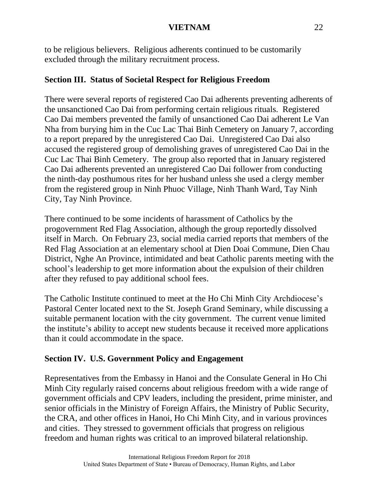to be religious believers. Religious adherents continued to be customarily excluded through the military recruitment process.

# **Section III. Status of Societal Respect for Religious Freedom**

There were several reports of registered Cao Dai adherents preventing adherents of the unsanctioned Cao Dai from performing certain religious rituals. Registered Cao Dai members prevented the family of unsanctioned Cao Dai adherent Le Van Nha from burying him in the Cuc Lac Thai Binh Cemetery on January 7, according to a report prepared by the unregistered Cao Dai. Unregistered Cao Dai also accused the registered group of demolishing graves of unregistered Cao Dai in the Cuc Lac Thai Binh Cemetery. The group also reported that in January registered Cao Dai adherents prevented an unregistered Cao Dai follower from conducting the ninth-day posthumous rites for her husband unless she used a clergy member from the registered group in Ninh Phuoc Village, Ninh Thanh Ward, Tay Ninh City, Tay Ninh Province.

There continued to be some incidents of harassment of Catholics by the progovernment Red Flag Association, although the group reportedly dissolved itself in March. On February 23, social media carried reports that members of the Red Flag Association at an elementary school at Dien Doai Commune, Dien Chau District, Nghe An Province, intimidated and beat Catholic parents meeting with the school's leadership to get more information about the expulsion of their children after they refused to pay additional school fees.

The Catholic Institute continued to meet at the Ho Chi Minh City Archdiocese's Pastoral Center located next to the St. Joseph Grand Seminary, while discussing a suitable permanent location with the city government. The current venue limited the institute's ability to accept new students because it received more applications than it could accommodate in the space.

# **Section IV. U.S. Government Policy and Engagement**

Representatives from the Embassy in Hanoi and the Consulate General in Ho Chi Minh City regularly raised concerns about religious freedom with a wide range of government officials and CPV leaders, including the president, prime minister, and senior officials in the Ministry of Foreign Affairs, the Ministry of Public Security, the CRA, and other offices in Hanoi, Ho Chi Minh City, and in various provinces and cities. They stressed to government officials that progress on religious freedom and human rights was critical to an improved bilateral relationship.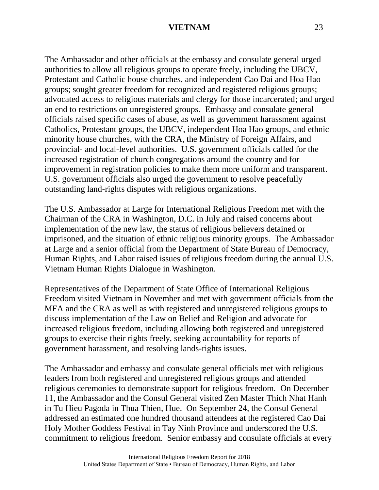The Ambassador and other officials at the embassy and consulate general urged authorities to allow all religious groups to operate freely, including the UBCV, Protestant and Catholic house churches, and independent Cao Dai and Hoa Hao groups; sought greater freedom for recognized and registered religious groups; advocated access to religious materials and clergy for those incarcerated; and urged an end to restrictions on unregistered groups. Embassy and consulate general officials raised specific cases of abuse, as well as government harassment against Catholics, Protestant groups, the UBCV, independent Hoa Hao groups, and ethnic minority house churches, with the CRA, the Ministry of Foreign Affairs, and provincial- and local-level authorities. U.S. government officials called for the increased registration of church congregations around the country and for improvement in registration policies to make them more uniform and transparent. U.S. government officials also urged the government to resolve peacefully outstanding land-rights disputes with religious organizations.

The U.S. Ambassador at Large for International Religious Freedom met with the Chairman of the CRA in Washington, D.C. in July and raised concerns about implementation of the new law, the status of religious believers detained or imprisoned, and the situation of ethnic religious minority groups. The Ambassador at Large and a senior official from the Department of State Bureau of Democracy, Human Rights, and Labor raised issues of religious freedom during the annual U.S. Vietnam Human Rights Dialogue in Washington.

Representatives of the Department of State Office of International Religious Freedom visited Vietnam in November and met with government officials from the MFA and the CRA as well as with registered and unregistered religious groups to discuss implementation of the Law on Belief and Religion and advocate for increased religious freedom, including allowing both registered and unregistered groups to exercise their rights freely, seeking accountability for reports of government harassment, and resolving lands-rights issues.

The Ambassador and embassy and consulate general officials met with religious leaders from both registered and unregistered religious groups and attended religious ceremonies to demonstrate support for religious freedom. On December 11, the Ambassador and the Consul General visited Zen Master Thich Nhat Hanh in Tu Hieu Pagoda in Thua Thien, Hue. On September 24, the Consul General addressed an estimated one hundred thousand attendees at the registered Cao Dai Holy Mother Goddess Festival in Tay Ninh Province and underscored the U.S. commitment to religious freedom. Senior embassy and consulate officials at every